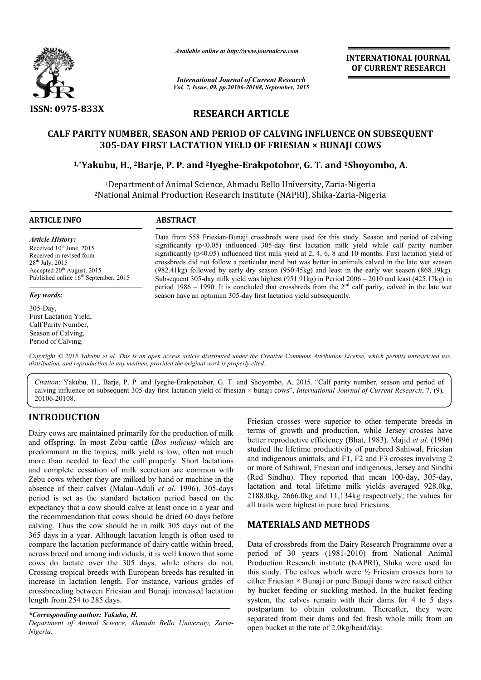

*Available online at http://www.journalcra.com*

*Vol. 7, Issue, 09, pp.20106-20108, September, 2015 International Journal of Current Research*

**INTERNATIONAL INTERNATIONAL JOURNAL OF CURRENT RESEARCH** 

# **RESEARCH ARTICLE**

# **CALF PARITY NUMBER, SEASON AND PERIOD OF CALVING INFLUENCE ON SUBSEQUENT CALF PARITY**  305-DAY FIRST LACTATION YIELD OF FRIESIAN **× BUNAJI COWS**

# **1,\*Yakubu, H., 2Barje, P. P. , and 2Iyeghe-Erakpotobor, G. T. and <sup>1</sup> 1Shoyombo, A.**

<sup>1</sup>Department of Animal Science, Ahmadu Bello University, Zaria-Nigeria <sup>2</sup>National Animal Production Research Institute (NAPRI), Shika-Zaria-Nigeria

 $\overline{a}$ 

### **ARTICLE INFO ABSTRACT**

*Article History:* Received 10<sup>th</sup> June, 2015 Received in revised form 28<sup>th</sup> July, 2015 Accepted 20<sup>th</sup> August, 2015 Published online 16<sup>th</sup> September, 2015

#### *Key words:*

305-Day, First Lactation Yield, Calf Parity Number, Season of Calving, Period of Calving.

Data from 558 Friesian-Bunaji crossbreds were used for this study. Season and period of calving Data from 558 Friesian-Bunaji crossbreds were used for this study. Season and period of calving significantly (p<0.05) influenced 305-day first lactation milk yield while calf parity number significantly ( $p<0.05$ ) influenced first milk yield at 2, 4, 6, 8 and 10 months. First lactation yield of crossbreds did not follow a particular trend but was better in animals calved in the late wet season (982.41kg) followed by early dry season (950.45kg) and least in the early wet season (868.19kg). Subsequent 305 305-day milk yield was highest (951.91kg) in Period 2006 significantly (p<0.05) influenced first milk yield at 2, 4, 6, 8 and 10 months. First lactation yield of crossbreds did not follow a particular trend but was better in animals calved in the late wet season (982.41kg) foll season have an optimum 305-day first lactation yield subsequently.

*Copyright © 2015 Yakubu et al. This is an open access article distributed under the Creative Commons Attribution License, which permits unrestricted use, . the distribution, and reproduction in any medium, provided the original work is properly cited.*

Citation: Yakubu, H., Barje, P. P. and Iyeghe-Erakpotobor, G. T. and Shoyombo, A. 2015. "Calf parity number, season and period of calving influence on subsequent 305-day first lactation yield of friesian × bunaji cows", *International Journal of Current Research*, 7, (9), 20106-20108.

# **INTRODUCTION**

Dairy cows are maintained primarily for the production of milk and offspring. In most Zebu cattle (*Bos indicus)* which are predominant in the tropics, milk yield is low, often not much more than needed to feed the calf properly. Short lactations and complete cessation of milk secretion are common with Zebu cows whether they are milked by hand or machine in the absence of their calves (Malau-Aduli *et al.* 1996). 305-days period is set as the standard lactation period based on the expectancy that a cow should calve at least once in a year and the recommendation that cows should be dried 60 days before calving. Thus the cow should be in milk 305 days out of the 365 days in a year. Although lactation length is often used to compare the lactation performance of dairy cattle within breed, across breed and among individuals, it is well known that some cows do lactate over the 305 days, while others do not. Crossing tropical breeds with European breeds has resulted in increase in lactation length. For instance, various grades of crossbreeding between Friesian and Bunaji increased lactation length from 254 to 285 days.

## *\*Corresponding author: Yakubu, H.*

Department of Animal Science, Ahmadu Bello University, Zaria-*Nigeria.*

Friesian crosses were superior to other temperate breeds in terms of growth and production, while Jersey crosses have terms of growth and production, while Jersey crosses have better reproductive efficiency (Bhat, 1983). Majid *et al.* (1996) studied the lifetime productivity of purebred Sahiwal, Friesian and indigenous animals, and F1, F2 and F3 crosses involving 2 or more of Sahiwal, Friesian and indigenous, Jersey and Sindhi (Red Sindhu). They reported that mean 100-day, 305-day, lactation and total lifetime milk yields averaged 928.0kg, 2188.0kg, 2666.0kg and 11,134kg respectively; the values for all traits were highest in pure bred Friesians. lifetime productivity of purebred Sahiwal, Friesian<br>ous animals, and F1, F2 and F3 crosses involving 2<br>Sahiwal, Friesian and indigenous, Jersey and Sindhi<br>u). They reported that mean 100-day, 305-day,

# **MATERIALS AND METHODS**

Data of crossbreds from the Dairy Research Programme over a period of 30 years (1981-2010) from National Animal Production Research institute (NAPRI), Shika were used for this study. The calves which were ½ Friesian crosses born to either Friesian  $\times$  Bunaji or pure Bunaji dams were raised either by bucket feeding or suckling method. In the bucket feeding system, the calves remain with their dams for 4 to 5 days postpartum to obtain colostrum. Thereafter, they were separated from their dams and fed fresh whole milk from an open bucket at the rate of 2.0kg/head/day. decation and total lifetime milk yields averaged 928.0kg, 2188.0kg, 2666.0kg and 11,134kg respectively; the values for all traits were highest in pure bred Friesians.<br> **MATERIALS AND METHODS**<br>
Data of crossbreds from the INTERNATIONAL JOURNAL<br>
FIRENCIA CALVING INFLUENCE ON SUBSEQUENT<br>
TICLE<br>
CALVING INFLUENCE ON SUBSEQUENT<br>
FRIESIAN × BUNAJI COWS<br>
kpotobor, G. T. and <sup>4</sup>Shoyombo, A.<br>
Bello University, Zaria-Nigeria<br>
tutte (NAPRI), Shika-Z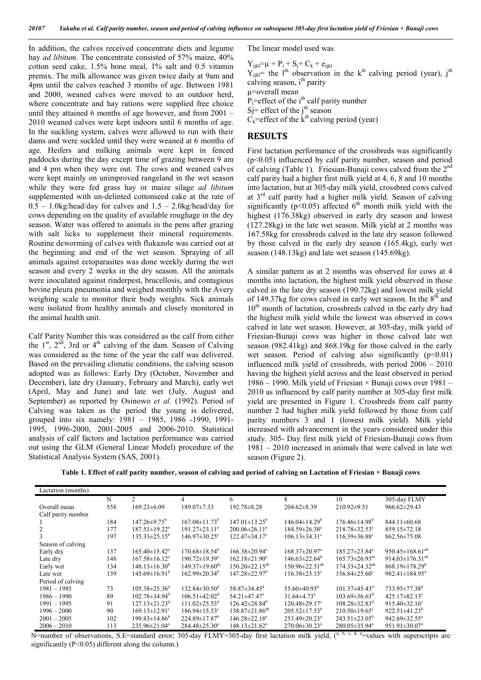In addition, the calves received concentrate diets and legume hay *ad libitum*. The concentrate consisted of 57% maize, 40% cotton seed cake, 1.5% bone meal, 1% salt and 0.5 vitamin premix. The milk allowance was given twice daily at 9am and 4pm until the calves reached 3 months of age. Between 1981 and 2000, weaned calves were moved to an outdoor herd, where concentrate and hay rations were supplied free choice until they attained 6 months of age however, and from 2001 – 2010 weaned calves were kept indoors until 6 months of age. In the suckling system, calves were allowed to run with their dams and were suckled until they were weaned at 6 months of age. Heifers and milking animals were kept in fenced paddocks during the day except time of grazing between 9 am and 4 pm when they were out. The cows and weaned calves were kept mainly on unimproved rangeland in the wet season while they were fed grass hay or maize silage *ad libitum* supplemented with un-delinted cottonseed cake at the rate of  $0.5 - 1.0$ kg/head/day for calves and  $1.5 - 2.0$ kg/head/day for cows depending on the quality of available roughage in the dry season. Water was offered to animals in the pens after grazing with salt licks to supplement their mineral requirements. Routine deworming of calves with flukazole was carried out at the beginning and end of the wet season. Spraying of all animals against ectoparasites was done weekly during the wet season and every 2 weeks in the dry season. All the animals were inoculated against rinderpest, brucellosis, and contagious bovine pleura pneumonia and weighed monthly with the Avery weighing scale to monitor their body weights. Sick animals were isolated from healthy animals and closely monitored in the animal health unit.

Calf Parity Number this was considered as the calf from either the  $1<sup>st</sup>$ ,  $2<sup>nd</sup>$ , 3rd or  $4<sup>th</sup>$  calving of the dam. Season of Calving was considered as the time of the year the calf was delivered. Based on the prevailing climatic conditions, the calving season adopted was as follows: Early Dry (October, November and December), late dry (January, February and March), early wet (April, May and June) and late wet (July, August and September) as reported by Osinowo *et al.* (1992). Period of Calving was taken as the period the young is delivered, grouped into six namely: 1981 – 1985, 1986 -1990, 1991- 1995, 1996-2000, 2001-2005 and 2006-2010. Statistical analysis of calf factors and lactation performance was carried out using the GLM (General Linear Model) procedure of the Statistical Analysis System (SAS, 2001).

The linear model used was

 $Y_{ijkl} = \mu + P_i + S_i + C_k + e_{ijkl}$  $Y_{ijkl}$ = the l<sup>th</sup> observation in the k<sup>th</sup> calving period (year), i<sup>th</sup> calving season,  $i<sup>th</sup>$  parity µ=overall mean  $P_i$ =effect of the i<sup>th</sup> calf parity number  $Sj$ = effect of the j<sup>th</sup> season  $C_k$ =effect of the  $k<sup>th</sup>$  calving period (year)

## **RESULTS**

First lactation performance of the crossbreds was significantly  $(p<0.05)$  influenced by calf parity number, season and period of calving (Table 1). Friesian-Bunaji cows calved from the  $2<sup>nd</sup>$ calf parity had a higher first milk yield at 4, 6, 8 and 10 months into lactation, but at 305-day milk yield, crossbred cows calved at  $3<sup>rd</sup>$  calf parity had a higher milk yield. Season of calving significantly ( $p<0.05$ ) affected 6<sup>th</sup> month milk yield with the highest (176.38kg) observed in early dry season and lowest (127.28kg) in the late wet season. Milk yield at 2 months was 167.58kg for crossbreds calved in the late dry season followed by those calved in the early dry season (165.4kg), early wet season (148.13kg) and late wet season (145.69kg).

A similar pattern as at 2 months was observed for cows at 4 months into lactation, the highest milk yield observed in those calved in the late dry season (190.72kg) and lowest milk yield of 149.37kg for cows calved in early wet season. In the  $8<sup>th</sup>$  and  $10<sup>th</sup>$  month of lactation, crossbreds calved in the early dry had the highest milk yield while the lowest was observed in cows calved in late wet season. However, at 305-day, milk yield of Friesian-Bunaji cows was higher in those calved late wet season (982.41kg) and 868.19kg for those calved in the early wet season. Period of calving also significantly  $(p<0.01)$ influenced milk yield of crossbreds, with period 2006 – 2010 having the highest yield across and the least observed in period 1986 – 1990. Milk yield of Friesian  $\times$  Bunaji cows over 1981 – 2010 as influenced by calf parity number at 305-day first milk yield are presented in Figure 1. Crossbreds from calf parity number 2 had higher milk yield followed by those from calf parity numbers 3 and 1 (lowest milk yield). Milk yield increased with advancement in the years considered under this study. 305- Day first milk yield of Friesian-Bunaji cows from 1981 – 2010 increased in animals that were calved in late wet season (Figure 2).

**Table 1. Effect of calf parity number, season of calving and period of calving on Lactation of Friesian × Bunaji cows**

| Lactation (months) |     |                                 |                                 |                                 |                                 |                                  |                                   |
|--------------------|-----|---------------------------------|---------------------------------|---------------------------------|---------------------------------|----------------------------------|-----------------------------------|
|                    | N   | 2                               | 4                               | 6                               | 8                               | 10                               | 305-day FLMY                      |
| Overall mean       | 558 | 169.23±6.09                     | 189.07±7.33                     | 192.78±8.28                     | $204.62 \pm 8.39$               | 210.92±9.51                      | $966.62 \pm 29.43$                |
| Calf parity number |     |                                 |                                 |                                 |                                 |                                  |                                   |
|                    | 184 | $147.26 \pm 9.75^{\circ}$       | $167.08 \pm 11.73^b$            | $147.01 \pm 13.25^{\mathrm{b}}$ | $146.04 \pm 14.29^b$            | $176.46 \pm 14.98^b$             | $844.11 \pm 60.68$                |
|                    | 177 | $187.51 \pm 19.22^a$            | $191.27 \pm 23.11^a$            | $200.06 \pm 26.11^a$            | $184.59 \pm 26.38^a$            | $218.78 \pm 32.53^a$             | 859.15 ± 72.18                    |
|                    | 197 | $135.33 \pm 25.15^b$            | $146.97 \pm 30.25$ °            | $122.47 \pm 34.17$ °            | $106.13 \pm 34.31$ °            | $116.39 \pm 36.88$ <sup>c</sup>  | $862.56 \pm 75.08$                |
| Season of calving  |     |                                 |                                 |                                 |                                 |                                  |                                   |
| Early dry          | 137 | $165.40 \pm 15.42^{\text{a}}$   | $170.68 \pm 18.54^{\circ}$      | $166.38 \pm 20.94$ <sup>a</sup> | $168.37 \pm 20.97$ <sup>a</sup> | $185.27 \pm 23.84$ <sup>a</sup>  | 950.45 $\pm$ 168.61 <sup>ab</sup> |
| Late dry           | 148 | $167.58 \pm 16.12^a$            | $190.72 \pm 19.39^a$            | $162.18 \pm 21.90^a$            | $146.63 \pm 22.64^b$            | $165.73 \pm 26.93$ <sup>bc</sup> | 914.03 $\pm$ 176.31 <sup>ab</sup> |
| Early wet          | 134 | $148.13 \pm 16.30^b$            | $149.37 \pm 19.60^{\rm bc}$     | $150.20 \pm 22.15^{ab}$         | $150.96 \pm 22.51^{ab}$         | $174.33 \pm 24.32^{ab}$          | $868.19 \pm 178.29^b$             |
| Late wet           | 139 | $145.69\pm16.91^{b}$            | $162.99 \pm 20.34^b$            | $147.28 \pm 22.97^{\mathrm{b}}$ | $116.38 \pm 23.15$ <sup>c</sup> | $156.84 \pm 25.60$ <sup>c</sup>  | $982.41 \pm 184.95^a$             |
| Period of calving  |     |                                 |                                 |                                 |                                 |                                  |                                   |
| $1981 - 1985$      | 73  | $105.38 \pm 25.36$ <sup>d</sup> | $132.84 \pm 30.50$ <sup>d</sup> | 58.87 $\pm$ 34.45 <sup>d</sup>  | 55.60 $\pm$ 40.93 <sup>d</sup>  | $101.37\pm45.43^{\text{d}}$      | 733.95±77.38 <sup>d</sup>         |
| $1986 - 1990$      | 89  | $102.78 \pm 34.94$ <sup>d</sup> | $106.51 \pm 42.02^{\circ}$      | $54.21 \pm 47.47$ <sup>c</sup>  | $31.64 \pm 4.73$ <sup>e</sup>   | $103.69 \pm 36.63^{\circ}$       | $425.17 \pm 82.13$ <sup>e</sup>   |
| $1991 - 1995$      | 91  | $127.13 \pm 21.23$ <sup>d</sup> | $111.02 \pm 25.53$ <sup>d</sup> | $126.42 \pm 28.84^b$            | $120.48 \pm 29.17$ °            | $108.28 \pm 32.83$ <sup>d</sup>  | $915.40\pm32.16^c$                |
| $1996 - 2000$      | 90  | $169.13 \pm 12.91^{\circ}$      | $186.94 \pm 15.53$ °            | $138.87 \pm 21.86^{ab}$         | $205.52 \pm 17.53^b$            | $210.50\pm19.65^{\circ}$         | $922.51 \pm 41.23^b$              |
| $2001 - 2005$      | 102 | $199.83\pm14.86^b$              | $224.89 \pm 17.87^b$            | $146.28 \pm 22.18^a$            | $253.49 \pm 20.23$ <sup>a</sup> | $243.51 \pm 23.05^{\circ}$       | $942.69 \pm 32.55^a$              |
| $2006 - 2010$      | 113 | $235.96 \pm 21.04^a$            | $284.48 \pm 25.30^a$            | $148.13 \pm 21.62^a$            | $270.06 \pm 30.23$ <sup>a</sup> | $280.05 \pm 35.94^a$             | $951.91 \pm 30.07^a$              |

N=number of observations, S.E=standard error; 305-day FLMY=305-day first lactation milk yield,  $(^\text{a, b, c, d, e}=$ values with superscripts are significantly (P<0.05) different along the column.)